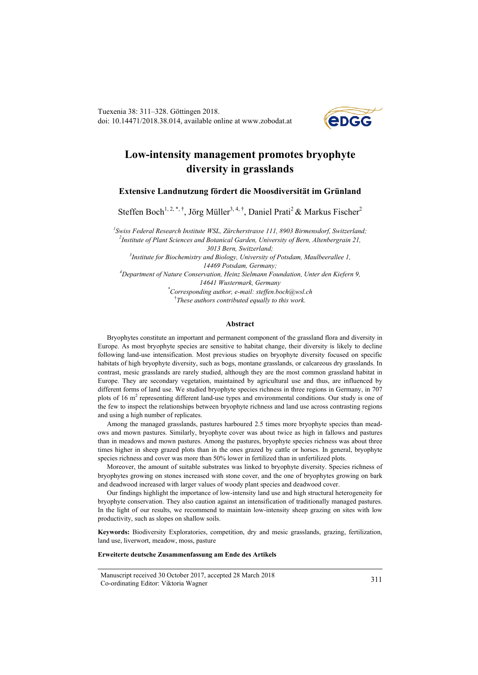Tuexenia 38: 311–328. Göttingen 2018. doi: 10.14471/2018.38.014, available online at www.zobodat.at



# **Low-intensity management promotes bryophyte diversity in grasslands**

**Extensive Landnutzung fördert die Moosdiversität im Grünland**

Steffen Boch<sup>1, 2,\*,†</sup>, Jörg Müller<sup>3, 4,†</sup>, Daniel Prati<sup>2</sup> & Markus Fischer<sup>2</sup>

*1 Swiss Federal Research Institute WSL, Zürcherstrasse 111, 8903 Birmensdorf, Switzerland; 2 Institute of Plant Sciences and Botanical Garden, University of Bern, Altenbergrain 21, 3013 Bern, Switzerland; 3 Institute for Biochemistry and Biology, University of Potsdam, Maulbeerallee 1, 14469 Potsdam, Germany; 4 Department of Nature Conservation, Heinz Sielmann Foundation, Unter den Kiefern 9, 14641 Wustermark, Germany \* Corresponding author, e-mail: [steffen.boch@wsl.ch](mailto:steffen.boch@wsl.ch)*

† *These authors contributed equally to this work.*

#### **Abstract**

Bryophytes constitute an important and permanent component of the grassland flora and diversity in Europe. As most bryophyte species are sensitive to habitat change, their diversity is likely to decline following land-use intensification. Most previous studies on bryophyte diversity focused on specific habitats of high bryophyte diversity, such as bogs, montane grasslands, or calcareous dry grasslands. In contrast, mesic grasslands are rarely studied, although they are the most common grassland habitat in Europe. They are secondary vegetation, maintained by agricultural use and thus, are influenced by different forms of land use. We studied bryophyte species richness in three regions in Germany, in 707 plots of 16 m<sup>2</sup> representing different land-use types and environmental conditions. Our study is one of the few to inspect the relationships between bryophyte richness and land use across contrasting regions and using a high number of replicates.

Among the managed grasslands, pastures harboured 2.5 times more bryophyte species than meadows and mown pastures. Similarly, bryophyte cover was about twice as high in fallows and pastures than in meadows and mown pastures. Among the pastures, bryophyte species richness was about three times higher in sheep grazed plots than in the ones grazed by cattle or horses. In general, bryophyte species richness and cover was more than 50% lower in fertilized than in unfertilized plots.

Moreover, the amount of suitable substrates was linked to bryophyte diversity. Species richness of bryophytes growing on stones increased with stone cover, and the one of bryophytes growing on bark and deadwood increased with larger values of woody plant species and deadwood cover.

Our findings highlight the importance of low-intensity land use and high structural heterogeneity for bryophyte conservation. They also caution against an intensification of traditionally managed pastures. In the light of our results, we recommend to maintain low-intensity sheep grazing on sites with low productivity, such as slopes on shallow soils.

**Keywords:** Biodiversity Exploratories, competition, dry and mesic grasslands, grazing, fertilization, land use, liverwort, meadow, moss, pasture

#### **Erweiterte deutsche Zusammenfassung am Ende des Artikels**

Manuscript received 30 October 2017, accepted 28 March 2018 Co-ordinating Editor: Viktoria Wagner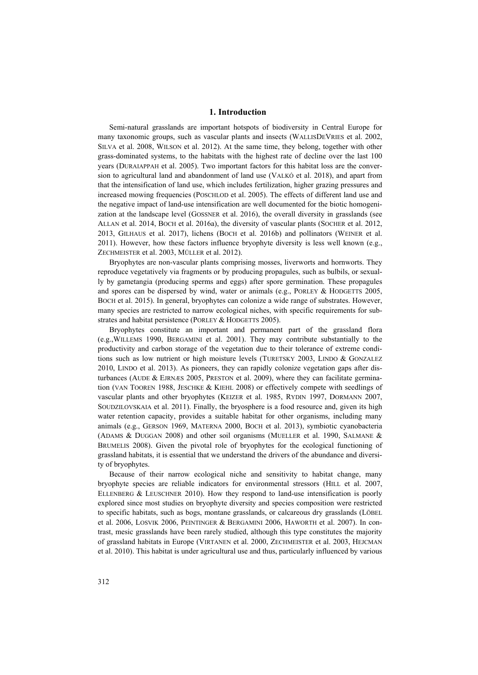## **1. Introduction**

Semi-natural grasslands are important hotspots of biodiversity in Central Europe for many taxonomic groups, such as vascular plants and insects (WALLISDEVRIES et al. 2002, SILVA et al. 2008, WILSON et al. 2012). At the same time, they belong, together with other grass-dominated systems, to the habitats with the highest rate of decline over the last 100 years (DURAIAPPAH et al. 2005). Two important factors for this habitat loss are the conversion to agricultural land and abandonment of land use (VALKÓ et al. 2018), and apart from that the intensification of land use, which includes fertilization, higher grazing pressures and increased mowing frequencies (POSCHLOD et al. 2005). The effects of different land use and the negative impact of land-use intensification are well documented for the biotic homogenization at the landscape level (GOSSNER et al. 2016), the overall diversity in grasslands (see ALLAN et al. 2014, BOCH et al. 2016a), the diversity of vascular plants (SOCHER et al. 2012, 2013, GILHAUS et al. 2017), lichens (BOCH et al. 2016b) and pollinators (WEINER et al. 2011). However, how these factors influence bryophyte diversity is less well known (e.g., ZECHMEISTER et al. 2003, MÜLLER et al. 2012).

Bryophytes are non-vascular plants comprising mosses, liverworts and hornworts. They reproduce vegetatively via fragments or by producing propagules, such as bulbils, or sexually by gametangia (producing sperms and eggs) after spore germination. These propagules and spores can be dispersed by wind, water or animals (e.g., PORLEY & HODGETTS 2005, BOCH et al. 2015). In general, bryophytes can colonize a wide range of substrates. However, many species are restricted to narrow ecological niches, with specific requirements for substrates and habitat persistence (PORLEY & HODGETTS 2005).

Bryophytes constitute an important and permanent part of the grassland flora (e.g.,WILLEMS 1990, BERGAMINI et al. 2001). They may contribute substantially to the productivity and carbon storage of the vegetation due to their tolerance of extreme conditions such as low nutrient or high moisture levels (TURETSKY 2003, LINDO & GONZALEZ 2010, LINDO et al. 2013). As pioneers, they can rapidly colonize vegetation gaps after disturbances (AUDE & EJRNÆS 2005, PRESTON et al. 2009), where they can facilitate germination (VAN TOOREN 1988, JESCHKE & KIEHL 2008) or effectively compete with seedlings of vascular plants and other bryophytes (KEIZER et al. 1985, RYDIN 1997, DORMANN 2007, SOUDZILOVSKAIA et al. 2011). Finally, the bryosphere is a food resource and, given its high water retention capacity, provides a suitable habitat for other organisms, including many animals (e.g., GERSON 1969, MATERNA 2000, BOCH et al. 2013), symbiotic cyanobacteria (ADAMS & DUGGAN 2008) and other soil organisms (MUELLER et al. 1990, SALMANE & BRUMELIS 2008). Given the pivotal role of bryophytes for the ecological functioning of grassland habitats, it is essential that we understand the drivers of the abundance and diversity of bryophytes.

Because of their narrow ecological niche and sensitivity to habitat change, many bryophyte species are reliable indicators for environmental stressors (HILL et al. 2007, ELLENBERG & LEUSCHNER 2010). How they respond to land-use intensification is poorly explored since most studies on bryophyte diversity and species composition were restricted to specific habitats, such as bogs, montane grasslands, or calcareous dry grasslands (LÖBEL et al. 2006, LOSVIK 2006, PEINTINGER & BERGAMINI 2006, HAWORTH et al. 2007). In contrast, mesic grasslands have been rarely studied, although this type constitutes the majority of grassland habitats in Europe (VIRTANEN et al. 2000, ZECHMEISTER et al. 2003, HEJCMAN et al. 2010). This habitat is under agricultural use and thus, particularly influenced by various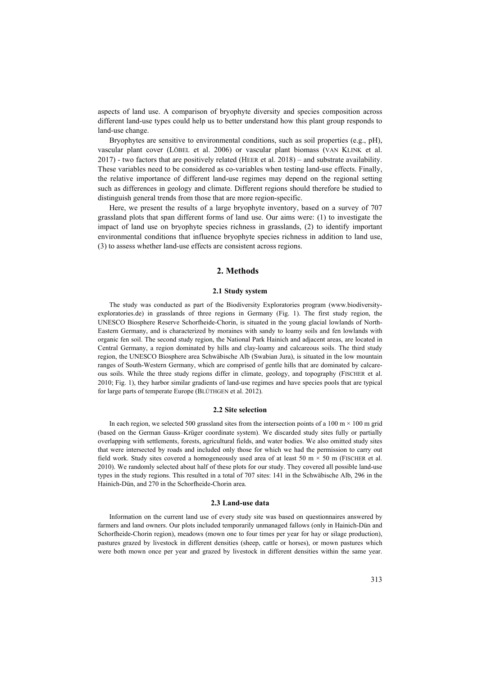aspects of land use. A comparison of bryophyte diversity and species composition across different land-use types could help us to better understand how this plant group responds to land-use change.

Bryophytes are sensitive to environmental conditions, such as soil properties (e.g., pH), vascular plant cover (LÖBEL et al. 2006) or vascular plant biomass (VAN KLINK et al. 2017) - two factors that are positively related (HEER et al. 2018) – and substrate availability. These variables need to be considered as co-variables when testing land-use effects. Finally, the relative importance of different land-use regimes may depend on the regional setting such as differences in geology and climate. Different regions should therefore be studied to distinguish general trends from those that are more region-specific.

Here, we present the results of a large bryophyte inventory, based on a survey of 707 grassland plots that span different forms of land use. Our aims were: (1) to investigate the impact of land use on bryophyte species richness in grasslands, (2) to identify important environmental conditions that influence bryophyte species richness in addition to land use, (3) to assess whether land-use effects are consistent across regions.

# **2. Methods**

## **2.1 Study system**

The study was conducted as part of the Biodiversity Exploratories program (www.biodiversityexploratories.de) in grasslands of three regions in Germany (Fig. 1). The first study region, the UNESCO Biosphere Reserve Schorfheide-Chorin, is situated in the young glacial lowlands of North-Eastern Germany, and is characterized by moraines with sandy to loamy soils and fen lowlands with organic fen soil. The second study region, the National Park Hainich and adjacent areas, are located in Central Germany, a region dominated by hills and clay-loamy and calcareous soils. The third study region, the UNESCO Biosphere area Schwäbische Alb (Swabian Jura), is situated in the low mountain ranges of South-Western Germany, which are comprised of gentle hills that are dominated by calcareous soils. While the three study regions differ in climate, geology, and topography (FISCHER et al. 2010; Fig. 1), they harbor similar gradients of land-use regimes and have species pools that are typical for large parts of temperate Europe (BLÜTHGEN et al. 2012).

#### **2.2 Site selection**

In each region, we selected 500 grassland sites from the intersection points of a 100 m  $\times$  100 m grid (based on the German Gauss–Krüger coordinate system). We discarded study sites fully or partially overlapping with settlements, forests, agricultural fields, and water bodies. We also omitted study sites that were intersected by roads and included only those for which we had the permission to carry out field work. Study sites covered a homogeneously used area of at least 50 m  $\times$  50 m (FISCHER et al. 2010). We randomly selected about half of these plots for our study. They covered all possible land-use types in the study regions. This resulted in a total of 707 sites: 141 in the Schwäbische Alb, 296 in the Hainich-Dün, and 270 in the Schorfheide-Chorin area.

#### **2.3 Land-use data**

Information on the current land use of every study site was based on questionnaires answered by farmers and land owners. Our plots included temporarily unmanaged fallows (only in Hainich-Dün and Schorfheide-Chorin region), meadows (mown one to four times per year for hay or silage production), pastures grazed by livestock in different densities (sheep, cattle or horses), or mown pastures which were both mown once per year and grazed by livestock in different densities within the same year.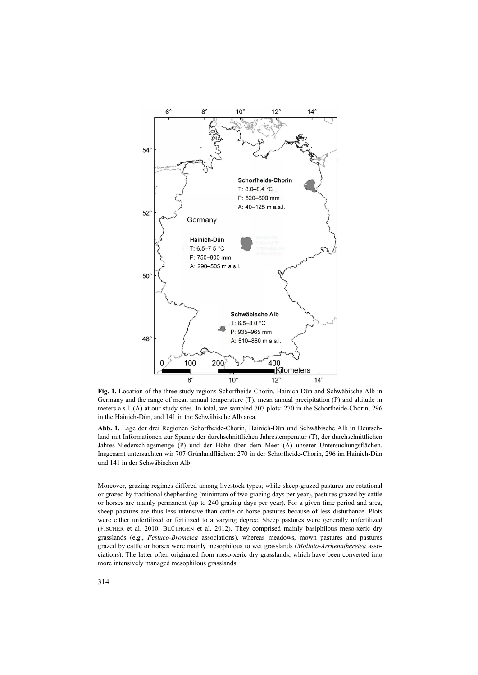

**Fig. 1.** Location of the three study regions Schorfheide-Chorin, Hainich-Dün and Schwäbische Alb in Germany and the range of mean annual temperature (T), mean annual precipitation (P) and altitude in meters a.s.l. (A) at our study sites. In total, we sampled 707 plots: 270 in the Schorfheide-Chorin, 296 in the Hainich-Dün, and 141 in the Schwäbische Alb area.

**Abb. 1.** Lage der drei Regionen Schorfheide-Chorin, Hainich-Dün und Schwäbische Alb in Deutschland mit Informationen zur Spanne der durchschnittlichen Jahrestemperatur (T), der durchschnittlichen Jahres-Niederschlagsmenge (P) und der Höhe über dem Meer (A) unserer Untersuchungsflächen. Insgesamt untersuchten wir 707 Grünlandflächen: 270 in der Schorfheide-Chorin, 296 im Hainich-Dün und 141 in der Schwäbischen Alb.

Moreover, grazing regimes differed among livestock types; while sheep-grazed pastures are rotational or grazed by traditional shepherding (minimum of two grazing days per year), pastures grazed by cattle or horses are mainly permanent (up to 240 grazing days per year). For a given time period and area, sheep pastures are thus less intensive than cattle or horse pastures because of less disturbance. Plots were either unfertilized or fertilized to a varying degree. Sheep pastures were generally unfertilized (FISCHER et al. 2010, BLÜTHGEN et al. 2012). They comprised mainly basiphilous meso-xeric dry grasslands (e.g., *Festuco-Brometea* associations), whereas meadows, mown pastures and pastures grazed by cattle or horses were mainly mesophilous to wet grasslands (*Molinio-Arrhenatheretea* associations). The latter often originated from meso-xeric dry grasslands, which have been converted into more intensively managed mesophilous grasslands.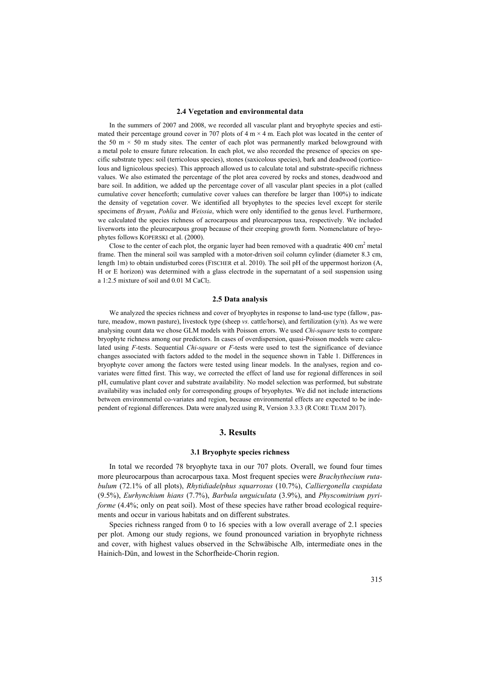#### **2.4 Vegetation and environmental data**

In the summers of 2007 and 2008, we recorded all vascular plant and bryophyte species and estimated their percentage ground cover in 707 plots of  $4 \text{ m} \times 4 \text{ m}$ . Each plot was located in the center of the 50 m  $\times$  50 m study sites. The center of each plot was permanently marked belowground with a metal pole to ensure future relocation. In each plot, we also recorded the presence of species on specific substrate types: soil (terricolous species), stones (saxicolous species), bark and deadwood (corticolous and lignicolous species). This approach allowed us to calculate total and substrate-specific richness values. We also estimated the percentage of the plot area covered by rocks and stones, deadwood and bare soil. In addition, we added up the percentage cover of all vascular plant species in a plot (called cumulative cover henceforth; cumulative cover values can therefore be larger than 100%) to indicate the density of vegetation cover. We identified all bryophytes to the species level except for sterile specimens of *Bryum*, *Pohlia* and *Weissia*, which were only identified to the genus level. Furthermore, we calculated the species richness of acrocarpous and pleurocarpous taxa, respectively. We included liverworts into the pleurocarpous group because of their creeping growth form. Nomenclature of bryophytes follows KOPERSKI et al. (2000).

Close to the center of each plot, the organic layer had been removed with a quadratic  $400 \text{ cm}^2$  metal frame. Then the mineral soil was sampled with a motor-driven soil column cylinder (diameter 8.3 cm, length 1m) to obtain undisturbed cores (FISCHER et al. 2010). The soil pH of the uppermost horizon (A, H or E horizon) was determined with a glass electrode in the supernatant of a soil suspension using a 1:2.5 mixture of soil and 0.01 M CaCl2.

#### **2.5 Data analysis**

We analyzed the species richness and cover of bryophytes in response to land-use type (fallow, pasture, meadow, mown pasture), livestock type (sheep *vs.* cattle/horse), and fertilization (y/n). As we were analysing count data we chose GLM models with Poisson errors. We used *Chi-square* tests to compare bryophyte richness among our predictors. In cases of overdispersion, quasi-Poisson models were calculated using *F*-tests. Sequential *Chi-square* or *F*-tests were used to test the significance of deviance changes associated with factors added to the model in the sequence shown in Table 1. Differences in bryophyte cover among the factors were tested using linear models. In the analyses, region and covariates were fitted first. This way, we corrected the effect of land use for regional differences in soil pH, cumulative plant cover and substrate availability. No model selection was performed, but substrate availability was included only for corresponding groups of bryophytes. We did not include interactions between environmental co-variates and region, because environmental effects are expected to be independent of regional differences. Data were analyzed using R, Version 3.3.3 (R CORE TEAM 2017).

## **3. Results**

### **3.1 Bryophyte species richness**

In total we recorded 78 bryophyte taxa in our 707 plots. Overall, we found four times more pleurocarpous than acrocarpous taxa. Most frequent species were *Brachythecium rutabulum* (72.1% of all plots), *Rhytidiadelphus squarrosus* (10.7%), *Calliergonella cuspidata*  (9.5%), *Eurhynchium hians* (7.7%), *Barbula unguiculata* (3.9%), and *Physcomitrium pyriforme* (4.4%; only on peat soil). Most of these species have rather broad ecological requirements and occur in various habitats and on different substrates.

Species richness ranged from 0 to 16 species with a low overall average of 2.1 species per plot. Among our study regions, we found pronounced variation in bryophyte richness and cover, with highest values observed in the Schwäbische Alb, intermediate ones in the Hainich-Dün, and lowest in the Schorfheide-Chorin region.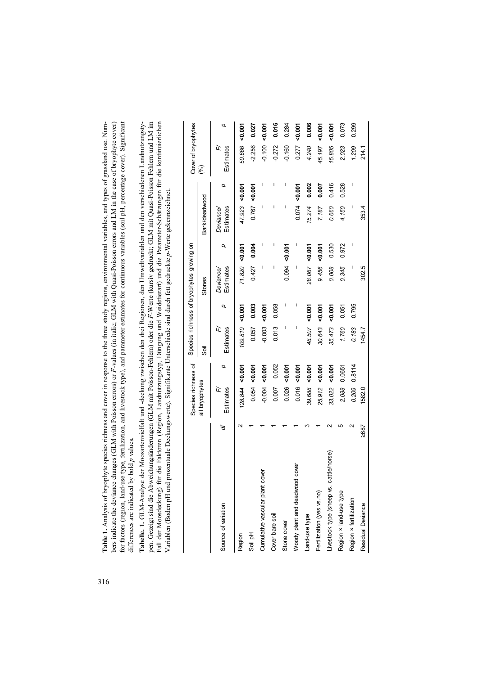Table 1. Analysis of bryophyte species richness and cover in response to the three study regions, environmental variables, and types of grassland use. Numfor factors (region, land-use type, fertilization, and livestock type), and parameter estimates for continuous variables (soil pH, percentage cover). Significant bers indicate the deviance changes (GLM with Poisson errors) or F-values (in italic; GLM with Quasi-Poisson errors and LM in the case of bryophyte cover) for factors (region, land-use type, fertilization, and livestock type), and parameter estimates for continuous variables (soil pH, percentage cover). Significant **Table 1.** Analysis of bryophyte species richness and cover in response to the three study regions, environmental variables, and types of grassland use. Numbers indicate the deviance changes (GLM with Poisson errors) or *F*-values (in italic; GLM with Quasi-Poisson errors and LM in the case of bryophyte cover) differences are indicated by bold p values. differences are indicated by bold *p* values. Tabelle. 1. GLM-Analyse der Moosartenvielfalt und -deckung zwischen den drei Regionen, den Umweltvariablen und den verschiedenen Landnutzungstypen. Gezeigt sind die Abweichungsänderungen (GLM mit Poisson-Fehlern) oder die F-Werte (kursiv gedruckt; GLM mit Quasi-Poisson Fehlern und LM im pen. Gezeigt sind die Abweichungsänderungen (GLM mit Poisson-Fehlern) oder die *F*-Werte (kursiv gedruckt; GLM mit Quasi-Poisson Fehlern und LM im Fall der Moosdeckung) für die Faktoren (Region, Landnutzungstyp, Düngung und Weidetierart) und die Parameter-Schätzungen für die kontinuierlichen Fall der Moosdeckung) für die Faktoren (Region, Landnutzungstyp, Düngung und Weidetierart) und die Parameter-Schätzungen für die kontinuierlichen **Tabelle. 1.** GLM-Analyse der Moosartenvielfalt und -deckung zwischen den drei Regionen, den Umweltvariablen und den verschiedenen Landnutzungsty-Variablen (Boden pH und prozentuale Deckungswerte). Signifikante Unterschiede sind durch fett gedruckte p-Werte gekennzeichnet. Variablen (Boden pH und prozentuale Deckungswerte). Signifikante Unterschiede sind durch fett gedruckte *p*-Werte gekennzeichnet.

|                                         |                    | Species richness of |               |                |          | Species richness of bryophytes growing on |                |                              |          | Cover of bryophytes |          |
|-----------------------------------------|--------------------|---------------------|---------------|----------------|----------|-------------------------------------------|----------------|------------------------------|----------|---------------------|----------|
|                                         |                    | all bryophytes      |               | 5ö             |          | Stones                                    |                | Bark/deadwood                |          | (%)                 |          |
| Source of variation                     | ₽                  | Estimates<br>亡      | Q             | 正<br>Estimates | Q        | Estimates<br>Deviance <sub>/</sub>        | Q              | Estimates<br><b>Deviance</b> | Q        | 亡<br>Estimates      | Q        |
| Region                                  |                    | $128.844$ <0.001    |               | 109.810 <0.001 |          |                                           | 71.820 <0.001  | 47.923 < 0.001               |          | 50.666              | 50.007   |
| Soil pH                                 |                    | 0.054               | $-0.007$      | 0.057          | 0.003    | 0.427                                     | 0.004          | 0.767                        | $-0.007$ | $-2.256$            | 0.027    |
| Cumulative vascular plant cover         |                    | $-0.004$            | $-0.001$      | $-0.003$       | $-0.007$ |                                           |                | ı                            |          | $-0.100$            | $-0.007$ |
| Cover bare soil                         |                    | 0.007               | 0.052         | 0.013          | 0.058    | I                                         | I              |                              | I        | $-0.272$            | 0.016    |
| Stone cover                             |                    | 0.026               | $\frac{5}{2}$ |                |          | 0.094                                     | $\frac{5}{20}$ |                              | ı        | $-0.160$            | 0.284    |
| cover<br>Woody plant and deadwood       |                    | 0.016               | $-0.007$      | ı              | I        |                                           | I              | 0.074                        | $-0.007$ | 0.277               | $-0.007$ |
| Land-use type                           |                    | 39.688              | 50.007        | 48.507         | $-0.001$ | 28.067                                    | $-0.007$       | 15.274                       | 0.002    | 4.240               | 0.006    |
| Fertilization (yes vs.no)               |                    | 25.912              | <0.007        | 30.643         | $-0.007$ | 9.456                                     | 50.007         | 7.187                        | 0.007    | 45.197              | $-0.007$ |
| Livestock type (sheep vs. cattle/horse) |                    | 33.022              | 50.007        | 35.473         | 50.007   | 0.008                                     | 0.530          | 0.660                        | 0.416    | 15.805              | $-0.007$ |
| Region × land-use type                  |                    | 2.088               | 0.0651        | 1.760          | 0.051    | 0.345                                     | 0.972          | 4.150                        | 0.528    | 2.023               | 0.073    |
| Region × fertilization                  | $\scriptstyle\sim$ | 0.209               | 0.8114        | 0.183          | 0.795    |                                           | I              | I                            |          | 1.209               | 0.299    |
| Residual Deviance                       | ≥687               | 1582.0              |               | 1454.7         |          | 302.5                                     |                | 353.4                        |          | 214.1               |          |

316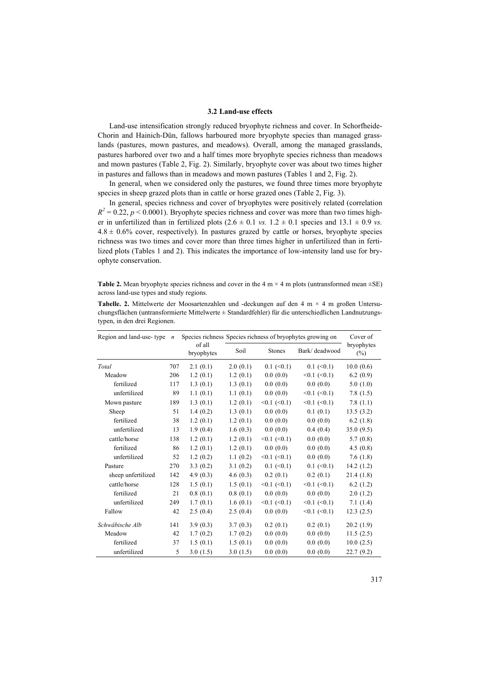## **3.2 Land-use effects**

Land-use intensification strongly reduced bryophyte richness and cover. In Schorfheide-Chorin and Hainich-Dün, fallows harboured more bryophyte species than managed grasslands (pastures, mown pastures, and meadows). Overall, among the managed grasslands, pastures harbored over two and a half times more bryophyte species richness than meadows and mown pastures (Table 2, Fig. 2). Similarly, bryophyte cover was about two times higher in pastures and fallows than in meadows and mown pastures (Tables 1 and 2, Fig. 2).

In general, when we considered only the pastures, we found three times more bryophyte species in sheep grazed plots than in cattle or horse grazed ones (Table 2, Fig. 3).

In general, species richness and cover of bryophytes were positively related (correlation  $R<sup>2</sup> = 0.22$ ,  $p < 0.0001$ ). Bryophyte species richness and cover was more than two times higher in unfertilized than in fertilized plots  $(2.6 \pm 0.1 \text{ vs. } 1.2 \pm 0.1 \text{ species and } 13.1 \pm 0.9 \text{ vs. } 1.2 \pm 0.1 \text{ species.}$  $4.8 \pm 0.6\%$  cover, respectively). In pastures grazed by cattle or horses, bryophyte species richness was two times and cover more than three times higher in unfertilized than in fertilized plots (Tables 1 and 2). This indicates the importance of low-intensity land use for bryophyte conservation.

**Table 2.** Mean bryophyte species richness and cover in the 4 m  $\times$  4 m plots (untransformed mean  $\pm$ SE) across land-use types and study regions.

| <b>Tabelle. 2.</b> Mittelwerte der Moosartenzahlen und -deckungen auf den 4 m $\times$ 4 m großen Untersu- |
|------------------------------------------------------------------------------------------------------------|
| chungsflächen (untransformierte Mittelwerte $\pm$ Standardfehler) für die unterschiedlichen Landnutzungs-  |
| typen, in den drei Regionen.                                                                               |

| Region and land-use-type | $\boldsymbol{n}$ |                      |          |                  | Species richness Species richness of bryophytes growing on | Cover of             |
|--------------------------|------------------|----------------------|----------|------------------|------------------------------------------------------------|----------------------|
|                          |                  | of all<br>bryophytes | Soil     | <b>Stones</b>    | Bark/deadwood                                              | bryophytes<br>$(\%)$ |
| Total                    | 707              | 2.1(0.1)             | 2.0(0.1) | $0.1 \le 0.1$    | $0.1 \le 0.1$                                              | 10.0(0.6)            |
| Meadow                   | 206              | 1.2(0.1)             | 1.2(0.1) | 0.0(0.0)         | $<0.1$ ( $<0.1$ )                                          | 6.2(0.9)             |
| fertilized               | 117              | 1.3(0.1)             | 1.3(0.1) | 0.0(0.0)         | 0.0(0.0)                                                   | 5.0(1.0)             |
| unfertilized             | 89               | 1.1(0.1)             | 1.1(0.1) | 0.0(0.0)         | $<0.1$ $(<0.1$ )                                           | 7.8(1.5)             |
| Mown pasture             | 189              | 1.3(0.1)             | 1.2(0.1) | $<0.1$ $(<0.1$ ) | $<0.1$ ( $<0.1$ )                                          | 7.8 $(1.1)$          |
| Sheep                    | 51               | 1.4(0.2)             | 1.3(0.1) | 0.0(0.0)         | 0.1(0.1)                                                   | 13.5(3.2)            |
| fertilized               | 38               | 1.2(0.1)             | 1.2(0.1) | 0.0(0.0)         | 0.0(0.0)                                                   | 6.2(1.8)             |
| unfertilized             | 13               | 1.9(0.4)             | 1.6(0.3) | 0.0(0.0)         | 0.4(0.4)                                                   | 35.0(9.5)            |
| cattle/horse             | 138              | 1.2(0.1)             | 1.2(0.1) | $<0.1$ $(<0.1$ ) | 0.0(0.0)                                                   | 5.7(0.8)             |
| fertilized               | 86               | 1.2(0.1)             | 1.2(0.1) | 0.0(0.0)         | 0.0(0.0)                                                   | 4.5(0.8)             |
| unfertilized             | 52               | 1.2(0.2)             | 1.1(0.2) | $<0.1$ $(<0.1$ ) | 0.0(0.0)                                                   | 7.6(1.8)             |
| Pasture                  | 270              | 3.3(0.2)             | 3.1(0.2) | $0.1 \le 0.1$    | $0.1 \le 0.1$                                              | 14.2(1.2)            |
| sheep unfertilized       | 142              | 4.9(0.3)             | 4.6(0.3) | 0.2(0.1)         | 0.2(0.1)                                                   | 21.4(1.8)            |
| cattle/horse             | 128              | 1.5(0.1)             | 1.5(0.1) | $<0.1$ $(<0.1)$  | $<0.1$ $(<0.1$ )                                           | 6.2(1.2)             |
| fertilized               | 21               | 0.8(0.1)             | 0.8(0.1) | 0.0(0.0)         | 0.0(0.0)                                                   | 2.0(1.2)             |
| unfertilized             | 249              | 1.7(0.1)             | 1.6(0.1) | $<0.1$ $(<0.1)$  | $<0.1$ $(<0.1$ )                                           | 7.1(1.4)             |
| Fallow                   | 42               | 2.5(0.4)             | 2.5(0.4) | 0.0(0.0)         | $<0.1$ ( $<0.1$ )                                          | 12.3(2.5)            |
| Schwäbische Alb          | 141              | 3.9(0.3)             | 3.7(0.3) | 0.2(0.1)         | 0.2(0.1)                                                   | 20.2(1.9)            |
| Meadow                   | 42               | 1.7(0.2)             | 1.7(0.2) | 0.0(0.0)         | 0.0(0.0)                                                   | 11.5(2.5)            |
| fertilized               | 37               | 1.5(0.1)             | 1.5(0.1) | 0.0(0.0)         | 0.0(0.0)                                                   | 10.0(2.5)            |
| unfertilized             | 5                | 3.0(1.5)             | 3.0(1.5) | 0.0(0.0)         | 0.0(0.0)                                                   | 22.7(9.2)            |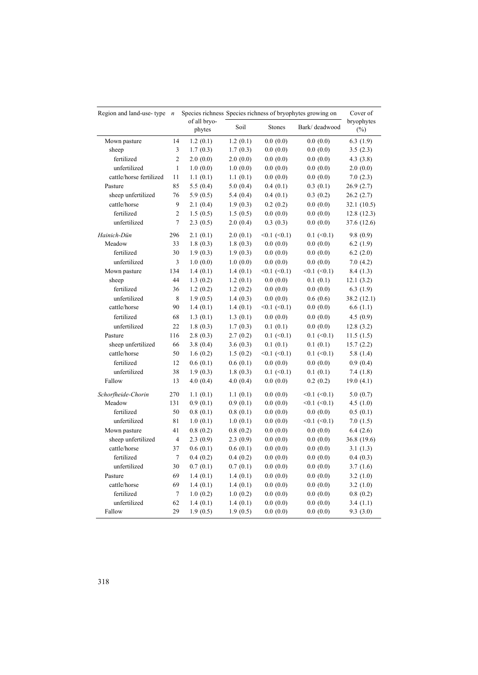| Region and land-use-type | $\overline{n}$ |                        |             |                     | Species richness Species richness of bryophytes growing on | Cover of             |
|--------------------------|----------------|------------------------|-------------|---------------------|------------------------------------------------------------|----------------------|
|                          |                | of all bryo-<br>phytes | Soil        | <b>Stones</b>       | Bark/deadwood                                              | bryophytes<br>$(\%)$ |
| Mown pasture             | 14             | 1.2(0.1)               | 1.2(0.1)    | 0.0(0.0)            | 0.0(0.0)                                                   | 6.3(1.9)             |
| sheep                    | 3              | 1.7(0.3)               | 1.7(0.3)    | 0.0(0.0)            | 0.0(0.0)                                                   | 3.5(2.3)             |
| fertilized               | $\overline{c}$ | 2.0(0.0)               | 2.0(0.0)    | 0.0(0.0)            | 0.0(0.0)                                                   | 4.3(3.8)             |
| unfertilized             | $\mathbf{1}$   | 1.0(0.0)               | 1.0(0.0)    | 0.0(0.0)            | 0.0(0.0)                                                   | 2.0(0.0)             |
| cattle/horse fertilized  | 11             | 1.1(0.1)               | 1.1(0.1)    | 0.0(0.0)            | 0.0(0.0)                                                   | 7.0(2.3)             |
| Pasture                  | 85             | 5.5(0.4)               | 5.0(0.4)    | 0.4(0.1)            | 0.3(0.1)                                                   | 26.9 (2.7)           |
| sheep unfertilized       | 76             | 5.9 $(0.5)$            | 5.4(0.4)    | 0.4(0.1)            | 0.3(0.2)                                                   | 26.2 (2.7)           |
| cattle/horse             | 9              | 2.1(0.4)               | 1.9(0.3)    | 0.2(0.2)            | 0.0(0.0)                                                   | 32.1 (10.5)          |
| fertilized               | $\overline{c}$ | 1.5(0.5)               | 1.5(0.5)    | 0.0(0.0)            | 0.0(0.0)                                                   | 12.8(12.3)           |
| unfertilized             | $\overline{7}$ | 2.3(0.5)               | 2.0(0.4)    | 0.3(0.3)            | 0.0(0.0)                                                   | 37.6 (12.6)          |
| Hainich-Dün              | 296            | 2.1(0.1)               | 2.0(0.1)    | $<0.1$ ( $<0.1$ )   | $0.1$ (<0.1)                                               | 9.8(0.9)             |
| Meadow                   | 33             | 1.8(0.3)               | 1.8(0.3)    | 0.0(0.0)            | 0.0(0.0)                                                   | 6.2(1.9)             |
| fertilized               | 30             | 1.9(0.3)               | 1.9(0.3)    | 0.0(0.0)            | 0.0(0.0)                                                   | 6.2(2.0)             |
| unfertilized             | 3              | 1.0(0.0)               | 1.0(0.0)    | 0.0(0.0)            | 0.0(0.0)                                                   | 7.0(4.2)             |
| Mown pasture             | 134            | 1.4(0.1)               | 1.4(0.1)    | $<0.1$ ( $<0.1$ )   | $< 0.1$ ( $< 0.1$ )                                        | 8.4(1.3)             |
| sheep                    | 44             | 1.3(0.2)               | 1.2(0.1)    | 0.0(0.0)            | 0.1(0.1)                                                   | 12.1(3.2)            |
| fertilized               | 36             | 1.2(0.2)               | 1.2(0.2)    | 0.0(0.0)            | 0.0(0.0)                                                   | 6.3(1.9)             |
| unfertilized             | 8              | 1.9(0.5)               | 1.4(0.3)    | 0.0(0.0)            | 0.6(0.6)                                                   | 38.2 (12.1)          |
| cattle/horse             | 90             | 1.4(0.1)               | 1.4 $(0.1)$ | $< 0.1$ ( $< 0.1$ ) | 0.0(0.0)                                                   | 6.6(1.1)             |
| fertilized               | 68             | 1.3(0.1)               | 1.3(0.1)    | 0.0(0.0)            | 0.0(0.0)                                                   | 4.5(0.9)             |
| unfertilized             | 22             | 1.8(0.3)               | 1.7(0.3)    | 0.1(0.1)            | 0.0(0.0)                                                   | 12.8(3.2)            |
| Pasture                  | 116            | 2.8(0.3)               | 2.7(0.2)    | $0.1$ (<0.1)        | $0.1$ (<0.1)                                               | 11.5(1.5)            |
| sheep unfertilized       | 66             | 3.8(0.4)               | 3.6(0.3)    | 0.1(0.1)            | 0.1(0.1)                                                   | 15.7(2.2)            |
| cattle/horse             | 50             | 1.6(0.2)               | 1.5(0.2)    | $<0.1$ $(<0.1)$     | $0.1 \le 0.1$                                              | 5.8 $(1.4)$          |
| fertilized               | 12             | 0.6(0.1)               | 0.6(0.1)    | 0.0(0.0)            | 0.0(0.0)                                                   | 0.9(0.4)             |
| unfertilized             | 38             | 1.9(0.3)               | 1.8(0.3)    | $0.1 \le 0.1$       | 0.1(0.1)                                                   | 7.4 (1.8)            |
| Fallow                   | 13             | 4.0(0.4)               | 4.0(0.4)    | 0.0(0.0)            | 0.2(0.2)                                                   | 19.0(4.1)            |
| Schorfheide-Chorin       | 270            | 1.1(0.1)               | 1.1(0.1)    | 0.0(0.0)            | $<0.1$ $(<0.1)$                                            | 5.0(0.7)             |
| Meadow                   | 131            | 0.9(0.1)               | 0.9(0.1)    | 0.0(0.0)            | $< 0.1$ ( $< 0.1$ )                                        | 4.5(1.0)             |
| fertilized               | 50             | 0.8(0.1)               | 0.8(0.1)    | 0.0(0.0)            | 0.0(0.0)                                                   | 0.5(0.1)             |
| unfertilized             | 81             | 1.0(0.1)               | 1.0(0.1)    | 0.0(0.0)            | $< 0.1$ ( $< 0.1$ )                                        | 7.0(1.5)             |
| Mown pasture             | 41             | 0.8(0.2)               | 0.8(0.2)    | 0.0(0.0)            | 0.0(0.0)                                                   | 6.4(2.6)             |
| sheep unfertilized       | $\overline{4}$ | 2.3(0.9)               | 2.3(0.9)    | 0.0(0.0)            | 0.0(0.0)                                                   | 36.8 (19.6)          |
| cattle/horse             | 37             | 0.6(0.1)               | 0.6(0.1)    | 0.0(0.0)            | 0.0(0.0)                                                   | 3.1(1.3)             |
| fertilized               | 7              | 0.4(0.2)               | 0.4(0.2)    | 0.0(0.0)            | 0.0(0.0)                                                   | 0.4(0.3)             |
| unfertilized             | 30             | 0.7(0.1)               | 0.7(0.1)    | 0.0(0.0)            | 0.0(0.0)                                                   | 3.7(1.6)             |
| Pasture                  | 69             | 1.4(0.1)               | 1.4(0.1)    | 0.0(0.0)            | 0.0(0.0)                                                   | 3.2(1.0)             |
| cattle/horse             | 69             | 1.4(0.1)               | 1.4(0.1)    | 0.0(0.0)            | 0.0(0.0)                                                   | 3.2(1.0)             |
| fertilized               | 7              | 1.0(0.2)               | 1.0(0.2)    | 0.0(0.0)            | 0.0(0.0)                                                   | 0.8(0.2)             |
| unfertilized             | 62             | 1.4(0.1)               | 1.4(0.1)    | 0.0(0.0)            | 0.0(0.0)                                                   | 3.4(1.1)             |
| Fallow                   | 29             | 1.9(0.5)               | 1.9(0.5)    | 0.0(0.0)            | 0.0(0.0)                                                   | 9.3(3.0)             |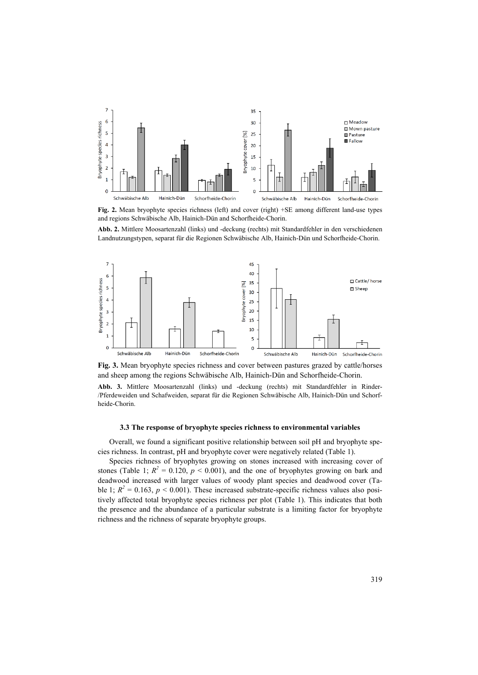

**Fig. 2.** Mean bryophyte species richness (left) and cover (right) +SE among different land-use types and regions Schwäbische Alb, Hainich-Dün and Schorfheide-Chorin.

**Abb. 2.** Mittlere Moosartenzahl (links) und -deckung (rechts) mit Standardfehler in den verschiedenen Landnutzungstypen, separat für die Regionen Schwäbische Alb, Hainich-Dün und Schorfheide-Chorin.



**Fig. 3.** Mean bryophyte species richness and cover between pastures grazed by cattle/horses and sheep among the regions Schwäbische Alb, Hainich-Dün and Schorfheide-Chorin.

**Abb. 3.** Mittlere Moosartenzahl (links) und -deckung (rechts) mit Standardfehler in Rinder- /Pferdeweiden und Schafweiden, separat für die Regionen Schwäbische Alb, Hainich-Dün und Schorfheide-Chorin.

# **3.3 The response of bryophyte species richness to environmental variables**

Overall, we found a significant positive relationship between soil pH and bryophyte species richness. In contrast, pH and bryophyte cover were negatively related (Table 1).

Species richness of bryophytes growing on stones increased with increasing cover of stones (Table 1;  $R^2 = 0.120$ ,  $p < 0.001$ ), and the one of bryophytes growing on bark and deadwood increased with larger values of woody plant species and deadwood cover (Table 1;  $R^2 = 0.163$ ,  $p < 0.001$ ). These increased substrate-specific richness values also positively affected total bryophyte species richness per plot (Table 1). This indicates that both the presence and the abundance of a particular substrate is a limiting factor for bryophyte richness and the richness of separate bryophyte groups.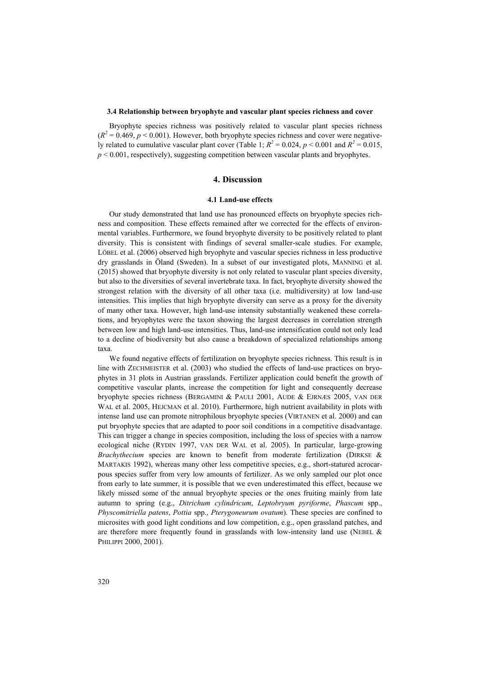# **3.4 Relationship between bryophyte and vascular plant species richness and cover**

Bryophyte species richness was positively related to vascular plant species richness  $(R<sup>2</sup> = 0.469, p < 0.001)$ . However, both bryophyte species richness and cover were negatively related to cumulative vascular plant cover (Table 1;  $R^2 = 0.024$ ,  $p < 0.001$  and  $R^2 = 0.015$ ,  $p < 0.001$ , respectively), suggesting competition between vascular plants and bryophytes.

## **4. Discussion**

#### **4.1 Land-use effects**

Our study demonstrated that land use has pronounced effects on bryophyte species richness and composition. These effects remained after we corrected for the effects of environmental variables. Furthermore, we found bryophyte diversity to be positively related to plant diversity. This is consistent with findings of several smaller-scale studies. For example, LÖBEL et al. (2006) observed high bryophyte and vascular species richness in less productive dry grasslands in Öland (Sweden). In a subset of our investigated plots, MANNING et al. (2015) showed that bryophyte diversity is not only related to vascular plant species diversity, but also to the diversities of several invertebrate taxa. In fact, bryophyte diversity showed the strongest relation with the diversity of all other taxa (i.e. multidiversity) at low land-use intensities. This implies that high bryophyte diversity can serve as a proxy for the diversity of many other taxa. However, high land-use intensity substantially weakened these correlations, and bryophytes were the taxon showing the largest decreases in correlation strength between low and high land-use intensities. Thus, land-use intensification could not only lead to a decline of biodiversity but also cause a breakdown of specialized relationships among taxa.

We found negative effects of fertilization on bryophyte species richness. This result is in line with ZECHMEISTER et al. (2003) who studied the effects of land-use practices on bryophytes in 31 plots in Austrian grasslands. Fertilizer application could benefit the growth of competitive vascular plants, increase the competition for light and consequently decrease bryophyte species richness (BERGAMINI & PAULI 2001, AUDE & EJRNÆS 2005, VAN DER WAL et al. 2005, HEJCMAN et al. 2010). Furthermore, high nutrient availability in plots with intense land use can promote nitrophilous bryophyte species (VIRTANEN et al. 2000) and can put bryophyte species that are adapted to poor soil conditions in a competitive disadvantage. This can trigger a change in species composition, including the loss of species with a narrow ecological niche (RYDIN 1997, VAN DER WAL et al. 2005). In particular, large-growing *Brachythecium* species are known to benefit from moderate fertilization (DIRKSE & MARTAKIS 1992), whereas many other less competitive species, e.g., short-statured acrocarpous species suffer from very low amounts of fertilizer. As we only sampled our plot once from early to late summer, it is possible that we even underestimated this effect, because we likely missed some of the annual bryophyte species or the ones fruiting mainly from late autumn to spring (e.g., *Ditrichum cylindricum*, *Leptobryum pyriforme*, *Phascum* spp., *Physcomitriella patens*, *Pottia* spp., *Pterygoneurum ovatum*). These species are confined to microsites with good light conditions and low competition, e.g., open grassland patches, and are therefore more frequently found in grasslands with low-intensity land use (NEBEL & PHILIPPI 2000, 2001).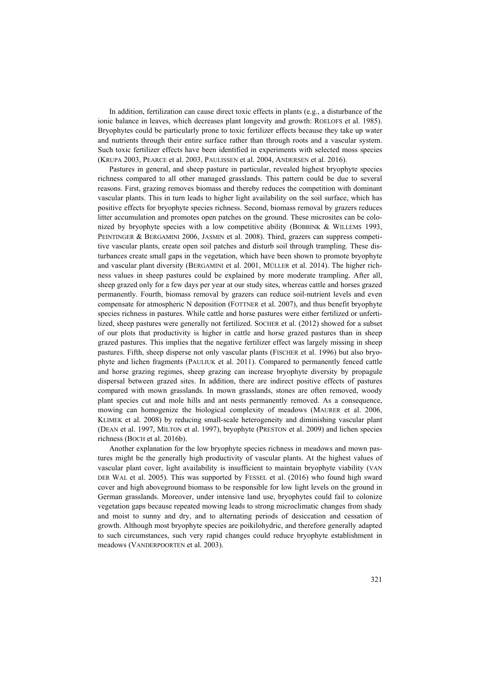In addition, fertilization can cause direct toxic effects in plants (e.g., a disturbance of the ionic balance in leaves, which decreases plant longevity and growth: ROELOFS et al. 1985). Bryophytes could be particularly prone to toxic fertilizer effects because they take up water and nutrients through their entire surface rather than through roots and a vascular system. Such toxic fertilizer effects have been identified in experiments with selected moss species (KRUPA 2003, PEARCE et al. 2003, PAULISSEN et al. 2004, ANDERSEN et al. 2016).

Pastures in general, and sheep pasture in particular, revealed highest bryophyte species richness compared to all other managed grasslands. This pattern could be due to several reasons. First, grazing removes biomass and thereby reduces the competition with dominant vascular plants. This in turn leads to higher light availability on the soil surface, which has positive effects for bryophyte species richness. Second, biomass removal by grazers reduces litter accumulation and promotes open patches on the ground. These microsites can be colonized by bryophyte species with a low competitive ability (BOBBINK & WILLEMS 1993, PEINTINGER & BERGAMINI 2006, JASMIN et al. 2008). Third, grazers can suppress competitive vascular plants, create open soil patches and disturb soil through trampling. These disturbances create small gaps in the vegetation, which have been shown to promote bryophyte and vascular plant diversity (BERGAMINI et al. 2001, MÜLLER et al. 2014). The higher richness values in sheep pastures could be explained by more moderate trampling. After all, sheep grazed only for a few days per year at our study sites, whereas cattle and horses grazed permanently. Fourth, biomass removal by grazers can reduce soil-nutrient levels and even compensate for atmospheric N deposition (FOTTNER et al. 2007), and thus benefit bryophyte species richness in pastures. While cattle and horse pastures were either fertilized or unfertilized, sheep pastures were generally not fertilized. SOCHER et al. (2012) showed for a subset of our plots that productivity is higher in cattle and horse grazed pastures than in sheep grazed pastures. This implies that the negative fertilizer effect was largely missing in sheep pastures. Fifth, sheep disperse not only vascular plants (FISCHER et al. 1996) but also bryophyte and lichen fragments (PAULIUK et al. 2011). Compared to permanently fenced cattle and horse grazing regimes, sheep grazing can increase bryophyte diversity by propagule dispersal between grazed sites. In addition, there are indirect positive effects of pastures compared with mown grasslands. In mown grasslands, stones are often removed, woody plant species cut and mole hills and ant nests permanently removed. As a consequence, mowing can homogenize the biological complexity of meadows (MAURER et al. 2006, KLIMEK et al. 2008) by reducing small-scale heterogeneity and diminishing vascular plant (DEAN et al. 1997, MILTON et al. 1997), bryophyte (PRESTON et al. 2009) and lichen species richness (BOCH et al. 2016b).

Another explanation for the low bryophyte species richness in meadows and mown pastures might be the generally high productivity of vascular plants. At the highest values of vascular plant cover, light availability is insufficient to maintain bryophyte viability (VAN DER WAL et al. 2005). This was supported by FESSEL et al. (2016) who found high sward cover and high aboveground biomass to be responsible for low light levels on the ground in German grasslands. Moreover, under intensive land use, bryophytes could fail to colonize vegetation gaps because repeated mowing leads to strong microclimatic changes from shady and moist to sunny and dry, and to alternating periods of desiccation and cessation of growth. Although most bryophyte species are poikilohydric, and therefore generally adapted to such circumstances, such very rapid changes could reduce bryophyte establishment in meadows (VANDERPOORTEN et al. 2003).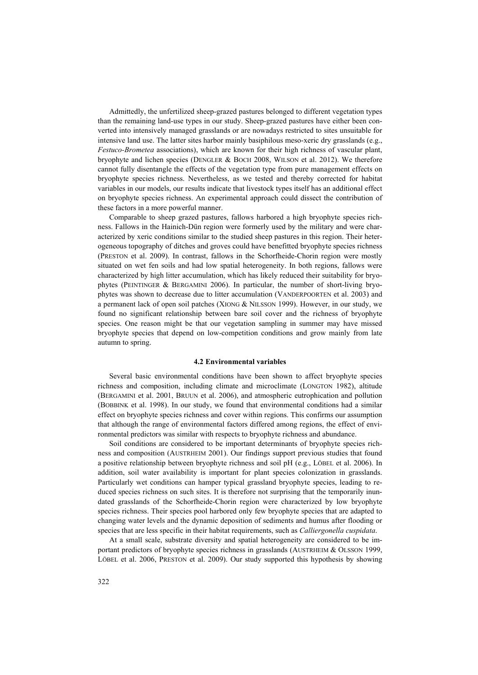Admittedly, the unfertilized sheep-grazed pastures belonged to different vegetation types than the remaining land-use types in our study. Sheep-grazed pastures have either been converted into intensively managed grasslands or are nowadays restricted to sites unsuitable for intensive land use. The latter sites harbor mainly basiphilous meso-xeric dry grasslands (e.g., *Festuco-Brometea* associations), which are known for their high richness of vascular plant, bryophyte and lichen species (DENGLER & BOCH 2008, WILSON et al. 2012). We therefore cannot fully disentangle the effects of the vegetation type from pure management effects on bryophyte species richness. Nevertheless, as we tested and thereby corrected for habitat variables in our models, our results indicate that livestock types itself has an additional effect on bryophyte species richness. An experimental approach could dissect the contribution of these factors in a more powerful manner.

Comparable to sheep grazed pastures, fallows harbored a high bryophyte species richness. Fallows in the Hainich-Dün region were formerly used by the military and were characterized by xeric conditions similar to the studied sheep pastures in this region. Their heterogeneous topography of ditches and groves could have benefitted bryophyte species richness (PRESTON et al. 2009). In contrast, fallows in the Schorfheide-Chorin region were mostly situated on wet fen soils and had low spatial heterogeneity. In both regions, fallows were characterized by high litter accumulation, which has likely reduced their suitability for bryophytes (PEINTINGER & BERGAMINI 2006). In particular, the number of short-living bryophytes was shown to decrease due to litter accumulation (VANDERPOORTEN et al. 2003) and a permanent lack of open soil patches (XIONG & NILSSON 1999). However, in our study, we found no significant relationship between bare soil cover and the richness of bryophyte species. One reason might be that our vegetation sampling in summer may have missed bryophyte species that depend on low-competition conditions and grow mainly from late autumn to spring.

#### **4.2 Environmental variables**

Several basic environmental conditions have been shown to affect bryophyte species richness and composition, including climate and microclimate (LONGTON 1982), altitude (BERGAMINI et al. 2001, BRUUN et al. 2006), and atmospheric eutrophication and pollution (BOBBINK et al. 1998). In our study, we found that environmental conditions had a similar effect on bryophyte species richness and cover within regions. This confirms our assumption that although the range of environmental factors differed among regions, the effect of environmental predictors was similar with respects to bryophyte richness and abundance.

Soil conditions are considered to be important determinants of bryophyte species richness and composition (AUSTRHEIM 2001). Our findings support previous studies that found a positive relationship between bryophyte richness and soil pH (e.g., LÖBEL et al. 2006). In addition, soil water availability is important for plant species colonization in grasslands. Particularly wet conditions can hamper typical grassland bryophyte species, leading to reduced species richness on such sites. It is therefore not surprising that the temporarily inundated grasslands of the Schorfheide-Chorin region were characterized by low bryophyte species richness. Their species pool harbored only few bryophyte species that are adapted to changing water levels and the dynamic deposition of sediments and humus after flooding or species that are less specific in their habitat requirements, such as *Calliergonella cuspidata*.

At a small scale, substrate diversity and spatial heterogeneity are considered to be important predictors of bryophyte species richness in grasslands (AUSTRHEIM & OLSSON 1999, LÖBEL et al. 2006, PRESTON et al. 2009). Our study supported this hypothesis by showing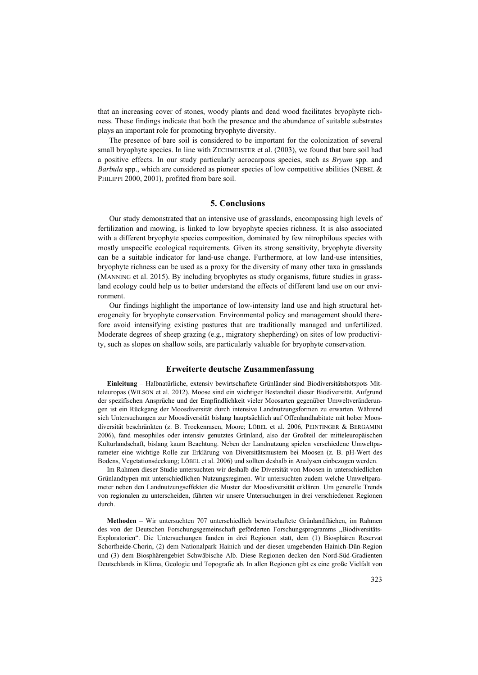that an increasing cover of stones, woody plants and dead wood facilitates bryophyte richness. These findings indicate that both the presence and the abundance of suitable substrates plays an important role for promoting bryophyte diversity.

The presence of bare soil is considered to be important for the colonization of several small bryophyte species. In line with ZECHMEISTER et al. (2003), we found that bare soil had a positive effects. In our study particularly acrocarpous species, such as *Bryum* spp. and *Barbula* spp., which are considered as pioneer species of low competitive abilities (NEBEL & PHILIPPI 2000, 2001), profited from bare soil.

## **5. Conclusions**

Our study demonstrated that an intensive use of grasslands, encompassing high levels of fertilization and mowing, is linked to low bryophyte species richness. It is also associated with a different bryophyte species composition, dominated by few nitrophilous species with mostly unspecific ecological requirements. Given its strong sensitivity, bryophyte diversity can be a suitable indicator for land-use change. Furthermore, at low land-use intensities, bryophyte richness can be used as a proxy for the diversity of many other taxa in grasslands (MANNING et al. 2015). By including bryophytes as study organisms, future studies in grassland ecology could help us to better understand the effects of different land use on our environment.

Our findings highlight the importance of low-intensity land use and high structural heterogeneity for bryophyte conservation. Environmental policy and management should therefore avoid intensifying existing pastures that are traditionally managed and unfertilized. Moderate degrees of sheep grazing (e.g., migratory shepherding) on sites of low productivity, such as slopes on shallow soils, are particularly valuable for bryophyte conservation.

# **Erweiterte deutsche Zusammenfassung**

**Einleitung** – Halbnatürliche, extensiv bewirtschaftete Grünländer sind Biodiversitätshotspots Mitteleuropas (WILSON et al. 2012). Moose sind ein wichtiger Bestandteil dieser Biodiversität. Aufgrund der spezifischen Ansprüche und der Empfindlichkeit vieler Moosarten gegenüber Umweltveränderungen ist ein Rückgang der Moosdiversität durch intensive Landnutzungsformen zu erwarten. Während sich Untersuchungen zur Moosdiversität bislang hauptsächlich auf Offenlandhabitate mit hoher Moosdiversität beschränkten (z. B. Trockenrasen, Moore; LÖBEL et al. 2006, PEINTINGER & BERGAMINI 2006), fand mesophiles oder intensiv genutztes Grünland, also der Großteil der mitteleuropäischen Kulturlandschaft, bislang kaum Beachtung. Neben der Landnutzung spielen verschiedene Umweltparameter eine wichtige Rolle zur Erklärung von Diversitätsmustern bei Moosen (z. B. pH-Wert des Bodens, Vegetationsdeckung; LÖBEL et al. 2006) und sollten deshalb in Analysen einbezogen werden.

Im Rahmen dieser Studie untersuchten wir deshalb die Diversität von Moosen in unterschiedlichen Grünlandtypen mit unterschiedlichen Nutzungsregimen. Wir untersuchten zudem welche Umweltparameter neben den Landnutzungseffekten die Muster der Moosdiversität erklären. Um generelle Trends von regionalen zu unterscheiden, führten wir unsere Untersuchungen in drei verschiedenen Regionen durch.

**Methoden** – Wir untersuchten 707 unterschiedlich bewirtschaftete Grünlandflächen, im Rahmen des von der Deutschen Forschungsgemeinschaft geförderten Forschungsprogramms "Biodiversitäts-Exploratorien". Die Untersuchungen fanden in drei Regionen statt, dem (1) Biosphären Reservat Schorfheide-Chorin, (2) dem Nationalpark Hainich und der diesen umgebenden Hainich-Dün-Region und (3) dem Biosphärengebiet Schwäbische Alb. Diese Regionen decken den Nord-Süd-Gradienten Deutschlands in Klima, Geologie und Topografie ab. In allen Regionen gibt es eine große Vielfalt von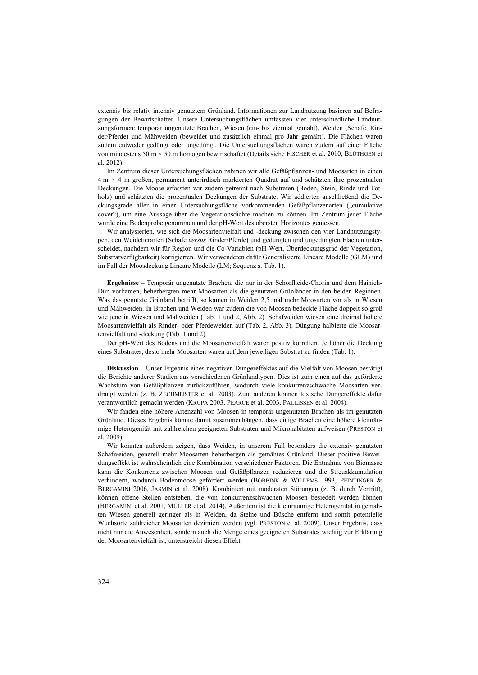extensiv bis relativ intensiv genutztem Grünland. Informationen zur Landnutzung basieren auf Befragungen der Bewirtschafter. Unsere Untersuchungsflächen umfassten vier unterschiedliche Landnutzungsformen: temporär ungenutzte Brachen, Wiesen (ein- bis viermal gemäht), Weiden (Schafe, Rinder/Pferde) und Mähweiden (beweidet und zusätzlich einmal pro Jahr gemäht). Die Flächen waren zudem entweder gedüngt oder ungedüngt. Die Untersuchungsflächen waren zudem auf einer Fläche von mindestens 50 m × 50 m homogen bewirtschaftet (Details siehe FISCHER et al. 2010, BLÜTHGEN et al. 2012).

Im Zentrum dieser Untersuchungsflächen nahmen wir alle Gefäßpflanzen- und Moosarten in einen 4 m × 4 m großen, permanent unterirdisch markierten Quadrat auf und schätzten ihre prozentualen Deckungen. Die Moose erfassten wir zudem getrennt nach Substraten (Boden, Stein, Rinde und Totholz) und schätzten die prozentualen Deckungen der Substrate. Wir addierten anschließend die Deckungsgrade aller in einer Untersuchungsfläche vorkommenden Gefäßpflanzenarten ("cumulative cover"), um eine Aussage über die Vegetationsdichte machen zu können. Im Zentrum jeder Fläche wurde eine Bodenprobe genommen und der pH-Wert des obersten Horizontes gemessen.

Wir analysierten, wie sich die Moosartenvielfalt und -deckung zwischen den vier Landnutzungstypen, den Weidetierarten (Schafe *versus* Rinder/Pferde) und gedüngten und ungedüngten Flächen unterscheidet, nachdem wir für Region und die Co-Variablen (pH-Wert, Überdeckungsgrad der Vegetation, Substratverfügbarkeit) korrigierten. Wir verwendeten dafür Generalisierte Lineare Modelle (GLM) und im Fall der Moosdeckung Lineare Modelle (LM; Sequenz s. Tab. 1).

**Ergebnisse** – Temporär ungenutzte Brachen, die nur in der Schorfheide-Chorin und dem Hainich-Dün vorkamen, beherbergten mehr Moosarten als die genutzten Grünländer in den beiden Regionen. Was das genutzte Grünland betrifft, so kamen in Weiden 2,5 mal mehr Moosarten vor als in Wiesen und Mähweiden. In Brachen und Weiden war zudem die von Moosen bedeckte Fläche doppelt so groß wie jene in Wiesen und Mähweiden (Tab. 1 und 2, Abb. 2). Schafweiden wiesen eine dreimal höhere Moosartenvielfalt als Rinder- oder Pferdeweiden auf (Tab. 2, Abb. 3). Düngung halbierte die Moosartenvielfalt und -deckung (Tab. 1 und 2).

Der pH-Wert des Bodens und die Moosartenvielfalt waren positiv korreliert. Je höher die Deckung eines Substrates, desto mehr Moosarten waren auf dem jeweiligen Substrat zu finden (Tab. 1).

**Diskussion** – Unser Ergebnis eines negativen Düngereffektes auf die Vielfalt von Moosen bestätigt die Berichte anderer Studien aus verschiedenen Grünlandtypen. Dies ist zum einen auf das geförderte Wachstum von Gefäßpflanzen zurückzuführen, wodurch viele konkurrenzschwache Moosarten verdrängt werden (z. B. ZECHMEISTER et al. 2003). Zum anderen können toxische Düngereffekte dafür verantwortlich gemacht werden (KRUPA 2003, PEARCE et al. 2003, PAULISSEN et al. 2004).

Wir fanden eine höhere Artenzahl von Moosen in temporär ungenutzten Brachen als im genutzten Grünland. Dieses Ergebnis könnte damit zusammenhängen, dass einige Brachen eine höhere kleinräumige Heterogenität mit zahlreichen geeigneten Substraten und Mikrohabitaten aufweisen (PRESTON et al. 2009).

Wir konnten außerdem zeigen, dass Weiden, in unserem Fall besonders die extensiv genutzten Schafweiden, generell mehr Moosarten beherbergen als gemähtes Grünland. Dieser positive Beweidungseffekt ist wahrscheinlich eine Kombination verschiedener Faktoren. Die Entnahme von Biomasse kann die Konkurrenz zwischen Moosen und Gefäßpflanzen reduzieren und die Streuakkumulation verhindern, wodurch Bodenmoose gefördert werden (BOBBINK & WILLEMS 1993, PEINTINGER & BERGAMINI 2006, JASMIN et al. 2008). Kombiniert mit moderaten Störungen (z. B. durch Vertritt), können offene Stellen entstehen, die von konkurrenzschwachen Moosen besiedelt werden können (BERGAMINI et al. 2001, MÜLLER et al. 2014). Außerdem ist die kleinräumige Heterogenität in gemähten Wiesen generell geringer als in Weiden, da Steine und Büsche entfernt und somit potentielle Wuchsorte zahlreicher Moosarten dezimiert werden (vgl. PRESTON et al. 2009). Unser Ergebnis, dass nicht nur die Anwesenheit, sondern auch die Menge eines geeigneten Substrates wichtig zur Erklärung der Moosartenvielfalt ist, unterstreicht diesen Effekt.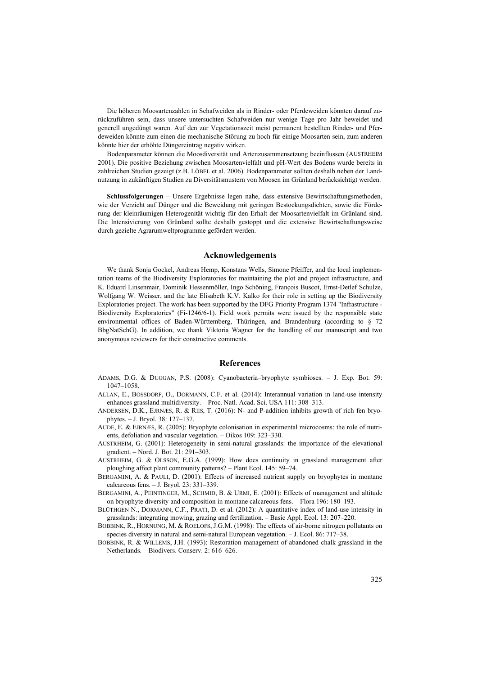Die höheren Moosartenzahlen in Schafweiden als in Rinder- oder Pferdeweiden könnten darauf zurückzuführen sein, dass unsere untersuchten Schafweiden nur wenige Tage pro Jahr beweidet und generell ungedüngt waren. Auf den zur Vegetationszeit meist permanent bestellten Rinder- und Pferdeweiden könnte zum einen die mechanische Störung zu hoch für einige Moosarten sein, zum anderen könnte hier der erhöhte Düngereintrag negativ wirken.

Bodenparameter können die Moosdiversität und Artenzusammensetzung beeinflussen (AUSTRHEIM 2001). Die positive Beziehung zwischen Moosartenvielfalt und pH-Wert des Bodens wurde bereits in zahlreichen Studien gezeigt (z.B. LÖBEL et al. 2006). Bodenparameter sollten deshalb neben der Landnutzung in zukünftigen Studien zu Diversitätsmustern von Moosen im Grünland berücksichtigt werden.

**Schlussfolgerungen** – Unsere Ergebnisse legen nahe, dass extensive Bewirtschaftungsmethoden, wie der Verzicht auf Dünger und die Beweidung mit geringen Bestockungsdichten, sowie die Förderung der kleinräumigen Heterogenität wichtig für den Erhalt der Moosartenvielfalt im Grünland sind. Die Intensivierung von Grünland sollte deshalb gestoppt und die extensive Bewirtschaftungsweise durch gezielte Agrarumweltprogramme gefördert werden.

#### **Acknowledgements**

We thank Sonja Gockel, Andreas Hemp, Konstans Wells, Simone Pfeiffer, and the local implementation teams of the Biodiversity Exploratories for maintaining the plot and project infrastructure, and K. Eduard Linsenmair, Dominik Hessenmöller, Ingo Schöning, François Buscot, Ernst-Detlef Schulze, Wolfgang W. Weisser, and the late Elisabeth K.V. Kalko for their role in setting up the Biodiversity Exploratories project. The work has been supported by the DFG Priority Program 1374 "Infrastructure ‐ Biodiversity Exploratories" (Fi-1246/6-1). Field work permits were issued by the responsible state environmental offices of Baden-Württemberg, Thüringen, and Brandenburg (according to § 72 BbgNatSchG). In addition, we thank Viktoria Wagner for the handling of our manuscript and two anonymous reviewers for their constructive comments.

#### **References**

- ADAMS, D.G. & DUGGAN, P.S. (2008): Cyanobacteria–bryophyte symbioses. J. Exp. Bot. 59: 1047–1058.
- ALLAN, E., BOSSDORF, O., DORMANN, C.F. et al. (2014): Interannual variation in land-use intensity enhances grassland multidiversity. – Proc. Natl. Acad. Sci. USA 111: 308–313.
- ANDERSEN, D.K., EJRNÆS, R. & RIIS, T. (2016): N- and P-addition inhibits growth of rich fen bryophytes. – J. Bryol. 38: 127–137.
- AUDE, E. & EJRNÆS, R. (2005): Bryophyte colonisation in experimental microcosms: the role of nutrients, defoliation and vascular vegetation. – Oikos 109: 323–330.
- AUSTRHEIM, G. (2001): Heterogeneity in semi-natural grasslands: the importance of the elevational gradient. – Nord. J. Bot. 21: 291–303.
- AUSTRHEIM, G. & OLSSON, E.G.A. (1999): How does continuity in grassland management after ploughing affect plant community patterns? – Plant Ecol. 145: 59–74.
- BERGAMINI, A. & PAULI, D. (2001): Effects of increased nutrient supply on bryophytes in montane calcareous fens. – J. Bryol. 23: 331–339.
- BERGAMINI, A., PEINTINGER, M., SCHMID, B. & URMI, E. (2001): Effects of management and altitude on bryophyte diversity and composition in montane calcareous fens. – Flora 196: 180–193.
- BLÜTHGEN N., DORMANN, C.F., PRATI, D. et al. (2012): A quantitative index of land-use intensity in grasslands: integrating mowing, grazing and fertilization. – Basic Appl. Ecol. 13: 207–220.
- BOBBINK, R., HORNUNG, M. & ROELOFS, J.G.M. (1998): The effects of air-borne nitrogen pollutants on species diversity in natural and semi-natural European vegetation. – J. Ecol. 86: 717–38.
- BOBBINK, R. & WILLEMS, J.H. (1993): Restoration management of abandoned chalk grassland in the Netherlands. – Biodivers. Conserv. 2: 616–626.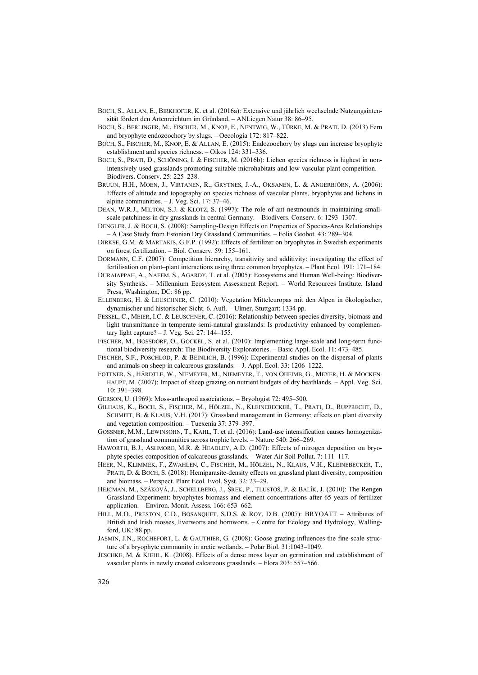- BOCH, S., ALLAN, E., BIRKHOFER, K. et al. (2016a): Extensive und jährlich wechselnde Nutzungsintensität fördert den Artenreichtum im Grünland. – ANLiegen Natur 38: 86–95.
- BOCH, S., BERLINGER, M., FISCHER, M., KNOP, E., NENTWIG, W., TÜRKE, M. & PRATI, D. (2013) Fern and bryophyte endozoochory by slugs. – Oecologia 172: 817–822.
- BOCH, S., FISCHER, M., KNOP, E. & ALLAN, E. (2015): Endozoochory by slugs can increase bryophyte establishment and species richness. – Oikos 124: 331–336.
- BOCH, S., PRATI, D., SCHÖNING, I. & FISCHER, M. (2016b): Lichen species richness is highest in nonintensively used grasslands promoting suitable microhabitats and low vascular plant competition. – Biodivers. Conserv. 25: 225–238.
- BRUUN, H.H., MOEN, J., VIRTANEN, R., GRYTNES, J.-A., OKSANEN, L. & ANGERBJÖRN, A. (2006): Effects of altitude and topography on species richness of vascular plants, bryophytes and lichens in alpine communities. – J. Veg. Sci. 17: 37–46.
- DEAN, W.R.J., MILTON, S.J. & KLOTZ, S. (1997): The role of ant nestmounds in maintaining smallscale patchiness in dry grasslands in central Germany. – Biodivers. Conserv. 6: 1293–1307.
- DENGLER, J. & BOCH, S. (2008): Sampling-Design Effects on Properties of Species-Area Relationships – A Case Study from Estonian Dry Grassland Communities. – Folia Geobot. 43: 289–304.
- DIRKSE, G.M. & MARTAKIS, G.F.P. (1992): Effects of fertilizer on bryophytes in Swedish experiments on forest fertilization. – Biol. Conserv. 59: 155–161.
- DORMANN, C.F. (2007): Competition hierarchy, transitivity and additivity: investigating the effect of fertilisation on plant–plant interactions using three common bryophytes. – Plant Ecol. 191: 171–184.
- DURAIAPPAH, A., NAEEM, S., AGARDY, T. et al. (2005): Ecosystems and Human Well-being: Biodiversity Synthesis. – Millennium Ecosystem Assessment Report. – World Resources Institute, Island Press, Washington, DC: 86 pp.
- ELLENBERG, H. & LEUSCHNER, C. (2010): Vegetation Mitteleuropas mit den Alpen in ökologischer, dynamischer und historischer Sicht. 6. Aufl. – Ulmer, Stuttgart: 1334 pp.
- FESSEL, C., MEIER, I.C. & LEUSCHNER, C. (2016): Relationship between species diversity, biomass and light transmittance in temperate semi-natural grasslands: Is productivity enhanced by complementary light capture? – J. Veg. Sci. 27: 144–155.
- FISCHER, M., BOSSDORF, O., GOCKEL, S. et al. (2010): Implementing large-scale and long-term functional biodiversity research: The Biodiversity Exploratories. – Basic Appl. Ecol. 11: 473–485.
- FISCHER, S.F., POSCHLOD, P. & BEINLICH, B. (1996): Experimental studies on the dispersal of plants and animals on sheep in calcareous grasslands. – J. Appl. Ecol. 33: 1206–1222.
- FOTTNER, S., HÄRDTLE, W., NIEMEYER, M., NIEMEYER, T., VON OHEIMB, G., MEYER, H. & MOCKEN-HAUPT, M. (2007): Impact of sheep grazing on nutrient budgets of dry heathlands. – Appl. Veg. Sci. 10: 391–398.
- GERSON, U. (1969): Moss-arthropod associations. Bryologist 72: 495–500.
- GILHAUS, K., BOCH, S., FISCHER, M., HÖLZEL, N., KLEINEBECKER, T., PRATI, D., RUPPRECHT, D., SCHMITT, B. & KLAUS, V.H. (2017): Grassland management in Germany: effects on plant diversity and vegetation composition. – Tuexenia 37: 379–397.
- GOSSNER, M.M., LEWINSOHN, T., KAHL, T. et al. (2016): Land-use intensification causes homogenization of grassland communities across trophic levels. – Nature 540: 266–269.
- HAWORTH, B.J., ASHMORE, M.R. & HEADLEY, A.D. (2007): Effects of nitrogen deposition on bryophyte species composition of calcareous grasslands. – Water Air Soil Pollut. 7: 111–117.
- HEER, N., KLIMMEK, F., ZWAHLEN, C., FISCHER, M., HÖLZEL, N., KLAUS, V.H., KLEINEBECKER, T., PRATI, D. & BOCH, S. (2018): Hemiparasite-density effects on grassland plant diversity, composition and biomass. – Perspect. Plant Ecol. Evol. Syst. 32: 23–29.
- HEJCMAN, M., SZÁKOVÁ, J., SCHELLBERG, J., ŠREK, P., TLUSTOŠ, P. & BALÍK, J. (2010): The Rengen Grassland Experiment: bryophytes biomass and element concentrations after 65 years of fertilizer application. – Environ. Monit. Assess. 166: 653–662.
- HILL, M.O., PRESTON, C.D., BOSANQUET, S.D.S. & ROY, D.B. (2007): BRYOATT Attributes of British and Irish mosses, liverworts and hornworts. – Centre for Ecology and Hydrology, Wallingford, UK: 88 pp.
- JASMIN, J.N., ROCHEFORT, L. & GAUTHIER, G. (2008): Goose grazing influences the fine-scale structure of a bryophyte community in arctic wetlands. – Polar Biol. 31:1043–1049.
- JESCHKE, M. & KIEHL, K. (2008). Effects of a dense moss layer on germination and establishment of vascular plants in newly created calcareous grasslands. – Flora 203: 557–566.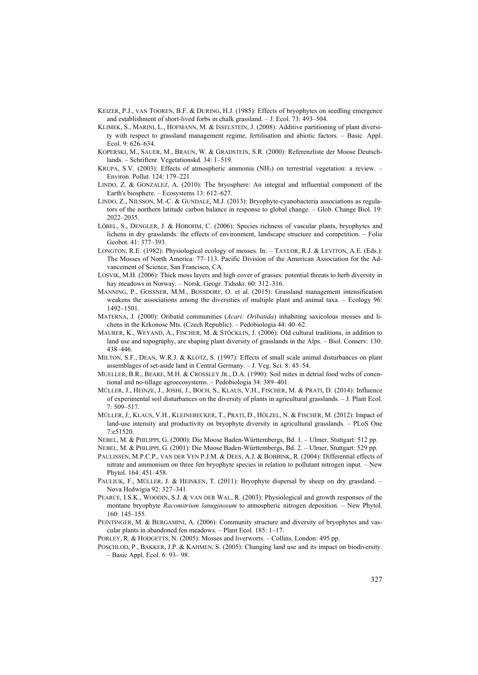- KEIZER, P.J., VAN TOOREN, B.F. & DURING, H.J. (1985): Effects of bryophytes on seedling emergence and establishment of short-lived forbs in chalk grassland. – J. Ecol. 73: 493–504.
- KLIMEK, S., MARINI, L., HOFMANN, M. & ISSELSTEIN, J. (2008): Additive partitioning of plant diversity with respect to grassland management regime, fertilisation and abiotic factors. – Basic. Appl. Ecol. 9: 626–634.
- KOPERSKI, M., SAUER, M., BRAUN, W. & GRADSTEIN, S.R. (2000): Referenzliste der Moose Deutschlands. – Schriftenr. Vegetationskd. 34: 1–519.
- KRUPA, S.V. (2003): Effects of atmospheric ammonia (NH3) on terrestrial vegetation: a review. Environ. Pollut. 124: 179–221.
- LINDO, Z. & GONZALEZ, A. (2010): The bryosphere: An integral and influential component of the Earth's biosphere. – Ecosystems 13: 612–627.
- LINDO, Z., NILSSON, M.-C. & GUNDALE, M.J. (2013): Bryophyte-cyanobacteria associations as regulators of the northern latitude carbon balance in response to global change. – Glob. Change Biol. 19: 2022–2035.
- LÖBEL, S., DENGLER, J. & HOBOHM, C. (2006): Species richness of vascular plants, bryophytes and lichens in dry grasslands: the effects of environment, landscape structure and competition. – Folia Geobot. 41: 377–393.
- LONGTON, R.E. (1982): Physiological ecology of mosses. In: TAYLOR, R.J. & LEVITON, A.E. (Eds.): The Mosses of North America: 77–113. Pacific Division of the American Association for the Advancement of Science, San Francisco, CA.
- LOSVIK, M.H. (2006): Thick moss layers and high cover of grasses: potential threats to herb diversity in hay meadows in Norway. – Norsk. Geogr. Tidsskr. 60: 312–316.
- MANNING, P., GOSSNER, M.M., BOSSDORF, O. et al. (2015): Grassland management intensification weakens the associations among the diversities of multiple plant and animal taxa. – Ecology 96: 1492–1501.
- MATERNA, J. (2000): Oribatid communities (*Acari: Oribatida*) inhabiting saxicolous mosses and lichens in the Krkonose Mts. (Czech Republic). – Pedobiologia 44: 40–62.
- MAURER, K., WEYAND, A., FISCHER, M. & STÖCKLIN, J. (2006): Old cultural traditions, in addition to land use and topography, are shaping plant diversity of grasslands in the Alps. – Biol. Conserv. 130: 438–446.
- MILTON, S.F., DEAN, W.R.J. & KLOTZ, S. (1997): Effects of small scale animal disturbances on plant assemblages of set-aside land in Central Germany. – J. Veg. Sci. 8: 45–54.
- MUELLER, B.R., BEARE, M.H. & CROSSLEY JR., D.A. (1990): Soil mites in detrial food webs of conentional and no-tillage agroecosystems. – Pedobiologia 34: 389–401.
- MÜLLER, J., HEINZE, J., JOSHI, J., BOCH, S., KLAUS, V.H., FISCHER, M. & PRATI, D. (2014): Influence of experimental soil disturbances on the diversity of plants in agricultural grasslands. – J. Plant Ecol. 7: 509–517.
- MÜLLER, J., KLAUS, V.H., KLEINEBECKER, T., PRATI, D., HÖLZEL, N. & FISCHER, M. (2012): Impact of land-use intensity and productivity on bryophyte diversity in agricultural grasslands. – PLoS One 7:e51520.
- NEBEL, M. & PHILIPPI, G. (2000): Die Moose Baden-Württembergs, Bd. 1. Ulmer, Stuttgart: 512 pp.
- NEBEL, M. & PHILIPPI, G. (2001): Die Moose Baden-Württembergs, Bd. 2. Ulmer, Stuttgart: 529 pp.
- PAULISSEN, M.P.C.P., VAN DER VEN P.J.M. & DEES, A.J. & BOBBINK, R. (2004): Differential effects of nitrate and ammonium on three fen bryophyte species in relation to pollutant nitrogen input. – New Phytol. 164: 451–458.
- PAULIUK, F., MÜLLER, J. & HEINKEN, T. (2011): Bryophyte dispersal by sheep on dry grassland. -Nova Hedwigia 92: 327–341.
- PEARCE, I.S.K., WOODIN, S.J. & VAN DER WAL, R. (2003): Physiological and growth responses of the montane bryophyte *Racomitrium lanuginosum* to atmospheric nitrogen deposition. – New Phytol. 160: 145–155.
- PEINTINGER, M. & BERGAMINI, A. (2006): Community structure and diversity of bryophytes and vascular plants in abandoned fen meadows*.* – Plant Ecol. 185: 1–17.
- PORLEY, R. & HODGETTS, N. (2005): Mosses and liverworts. Collins, London: 495 pp.
- POSCHLOD, P., BAKKER, J.P. & KAHMEN, S. (2005): Changing land use and its impact on biodiversity. – Basic Appl. Ecol. 6: 93– 98.